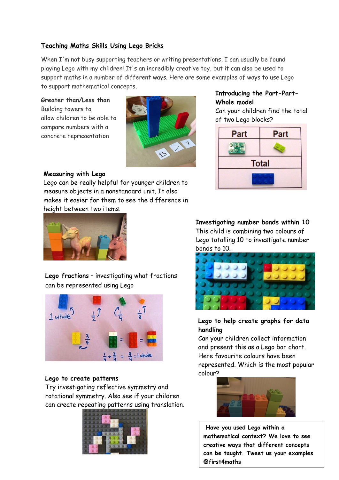## **Teaching Maths Skills Using Lego Bricks**

When I'm not busy supporting teachers or writing presentations, I can usually be found playing Lego with my children! It's an incredibly creative toy, but it can also be used to support maths in a number of different ways. Here are some examples of ways to use Lego to support mathematical concepts.

**Greater than/Less than** Building towers to allow children to be able to compare numbers with a concrete representation



# **Introducing the Part-Part-Whole model**

Can your children find the total of two Lego blocks?



## **Measuring with Lego**

Lego can be really helpful for younger children to measure objects in a nonstandard unit. It also makes it easier for them to see the difference in height between two items.



**Lego fractions** – investigating what fractions can be represented using Lego



#### **Lego to create patterns**

Try investigating reflective symmetry and rotational symmetry. Also see if your children can create repeating patterns using translation.



**Investigating number bonds within 10** This child is combining two colours of Lego totalling 10 to investigate number bonds to 10.



## **Lego to help create graphs for data handling**

Can your children collect information and present this as a Lego bar chart. Here favourite colours have been represented. Which is the most popular colour?



**Have you used Lego within a mathematical context? We love to see creative ways that different concepts can be taught. Tweet us your examples @first4maths**